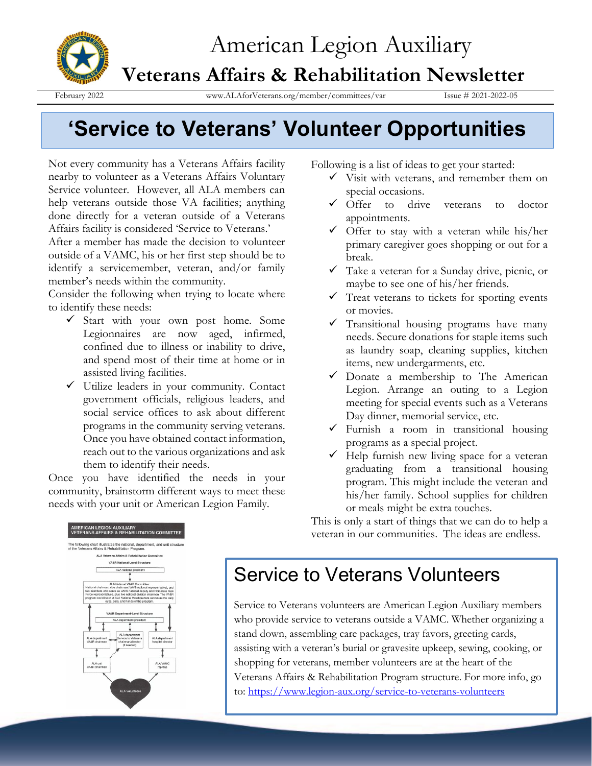

# American Legion Auxiliary

## **Veterans Affairs & Rehabilitation Newsletter**

February 2022 www.ALAforVeterans.org/member/committees/var Issue # 2021-2022-05

# **'Service to Veterans' Volunteer Opportunities**

Not every community has a Veterans Affairs facility nearby to volunteer as a Veterans Affairs Voluntary Service volunteer. However, all ALA members can help veterans outside those VA facilities; anything done directly for a veteran outside of a Veterans Affairs facility is considered 'Service to Veterans.'

After a member has made the decision to volunteer outside of a VAMC, his or her first step should be to identify a servicemember, veteran, and/or family member's needs within the community.

Consider the following when trying to locate where to identify these needs:

- ✓ Start with your own post home. Some Legionnaires are now aged, infirmed, confined due to illness or inability to drive, and spend most of their time at home or in assisted living facilities.
- ✓ Utilize leaders in your community. Contact government officials, religious leaders, and social service offices to ask about different programs in the community serving veterans. Once you have obtained contact information, reach out to the various organizations and ask them to identify their needs.

Once you have identified the needs in your community, brainstorm different ways to meet these needs with your unit or American Legion Family.

Following is a list of ideas to get your started:

- $\checkmark$  Visit with veterans, and remember them on special occasions.
- ✓ Offer to drive veterans to doctor appointments.
- $\checkmark$  Offer to stay with a veteran while his/her primary caregiver goes shopping or out for a break.
- ✓ Take a veteran for a Sunday drive, picnic, or maybe to see one of his/her friends.
- Treat veterans to tickets for sporting events or movies.
- $\checkmark$  Transitional housing programs have many needs. Secure donations for staple items such as laundry soap, cleaning supplies, kitchen items, new undergarments, etc.
- ✓ Donate a membership to The American Legion. Arrange an outing to a Legion meeting for special events such as a Veterans Day dinner, memorial service, etc.
- $\checkmark$  Furnish a room in transitional housing programs as a special project.
- $\checkmark$  Help furnish new living space for a veteran graduating from a transitional housing program. This might include the veteran and his/her family. School supplies for children or meals might be extra touches.

This is only a start of things that we can do to help a veteran in our communities. The ideas are endless.



# Service to Veterans Volunteers

Service to Veterans volunteers are American Legion Auxiliary members who provide service to veterans outside a VAMC. Whether organizing a stand down, assembling care packages, tray favors, greeting cards, assisting with a veteran's burial or gravesite upkeep, sewing, cooking, or shopping for veterans, member volunteers are at the heart of the Veterans Affairs & Rehabilitation Program structure. For more info, go to:<https://www.legion-aux.org/service-to-veterans-volunteers>